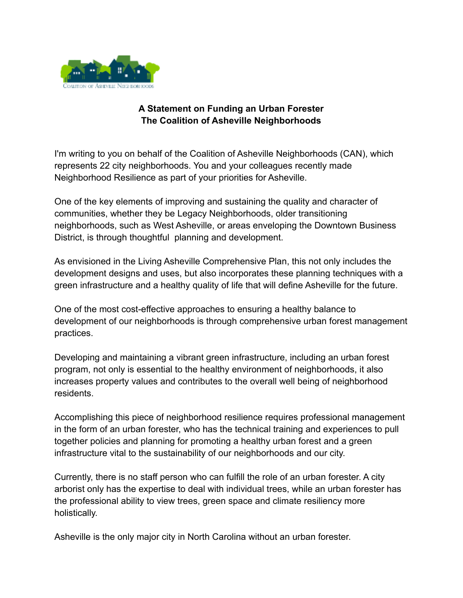

## **A Statement on Funding an Urban Forester The Coalition of Asheville Neighborhoods**

I'm writing to you on behalf of the Coalition of Asheville Neighborhoods (CAN), which represents 22 city neighborhoods. You and your colleagues recently made Neighborhood Resilience as part of your priorities for Asheville.

One of the key elements of improving and sustaining the quality and character of communities, whether they be Legacy Neighborhoods, older transitioning neighborhoods, such as West Asheville, or areas enveloping the Downtown Business District, is through thoughtful planning and development.

As envisioned in the Living Asheville Comprehensive Plan, this not only includes the development designs and uses, but also incorporates these planning techniques with a green infrastructure and a healthy quality of life that will define Asheville for the future.

One of the most cost-effective approaches to ensuring a healthy balance to development of our neighborhoods is through comprehensive urban forest management practices.

Developing and maintaining a vibrant green infrastructure, including an urban forest program, not only is essential to the healthy environment of neighborhoods, it also increases property values and contributes to the overall well being of neighborhood residents.

Accomplishing this piece of neighborhood resilience requires professional management in the form of an urban forester, who has the technical training and experiences to pull together policies and planning for promoting a healthy urban forest and a green infrastructure vital to the sustainability of our neighborhoods and our city.

Currently, there is no staff person who can fulfill the role of an urban forester. A city arborist only has the expertise to deal with individual trees, while an urban forester has the professional ability to view trees, green space and climate resiliency more holistically.

Asheville is the only major city in North Carolina without an urban forester.